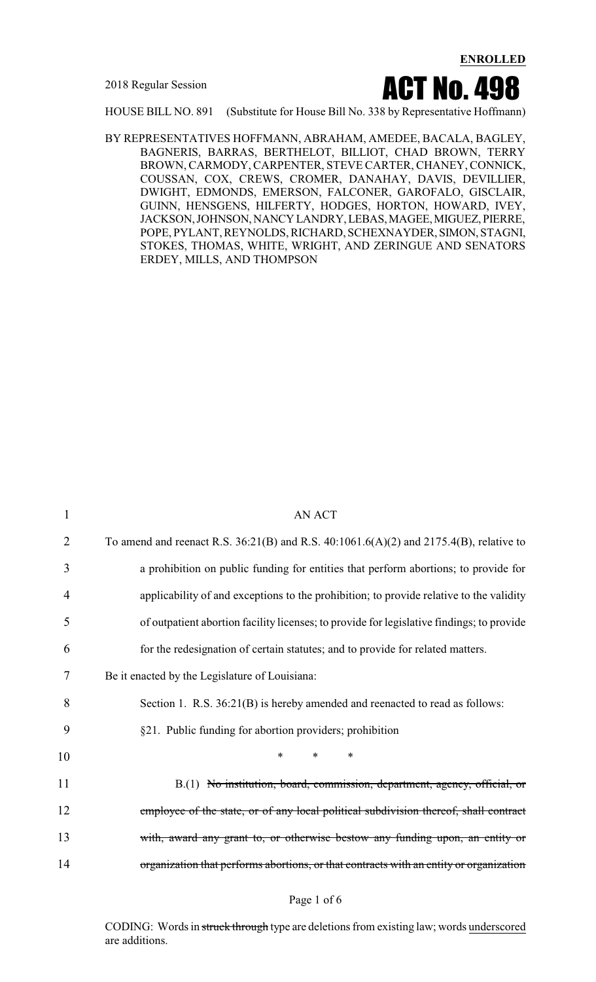2018 Regular Session



HOUSE BILL NO. 891 (Substitute for House Bill No. 338 by Representative Hoffmann)

BY REPRESENTATIVES HOFFMANN, ABRAHAM, AMEDEE, BACALA, BAGLEY, BAGNERIS, BARRAS, BERTHELOT, BILLIOT, CHAD BROWN, TERRY BROWN, CARMODY, CARPENTER, STEVE CARTER, CHANEY, CONNICK, COUSSAN, COX, CREWS, CROMER, DANAHAY, DAVIS, DEVILLIER, DWIGHT, EDMONDS, EMERSON, FALCONER, GAROFALO, GISCLAIR, GUINN, HENSGENS, HILFERTY, HODGES, HORTON, HOWARD, IVEY, JACKSON,JOHNSON,NANCYLANDRY,LEBAS,MAGEE,MIGUEZ, PIERRE, POPE, PYLANT, REYNOLDS, RICHARD, SCHEXNAYDER, SIMON, STAGNI, STOKES, THOMAS, WHITE, WRIGHT, AND ZERINGUE AND SENATORS ERDEY, MILLS, AND THOMPSON

| $\mathbf{1}$ | <b>AN ACT</b>                                                                                 |
|--------------|-----------------------------------------------------------------------------------------------|
| 2            | To amend and reenact R.S. $36:21(B)$ and R.S. $40:1061.6(A)(2)$ and $2175.4(B)$ , relative to |
| 3            | a prohibition on public funding for entities that perform abortions; to provide for           |
| 4            | applicability of and exceptions to the prohibition; to provide relative to the validity       |
| 5            | of outpatient abortion facility licenses; to provide for legislative findings; to provide     |
| 6            | for the redesignation of certain statutes; and to provide for related matters.                |
| 7            | Be it enacted by the Legislature of Louisiana:                                                |
| 8            | Section 1. R.S. 36:21(B) is hereby amended and reenacted to read as follows:                  |
| 9            | §21. Public funding for abortion providers; prohibition                                       |
| 10           | $\ast$<br>$\ast$<br>$\ast$                                                                    |
| 11           | B.(1) No institution, board, commission, department, agency, official, or                     |
| 12           | employee of the state, or of any local political subdivision thereof, shall contract          |
| 13           | with, award any grant to, or otherwise bestow any funding upon, an entity or                  |
| 14           | organization that performs abortions, or that contracts with an entity or organization        |
|              |                                                                                               |

#### Page 1 of 6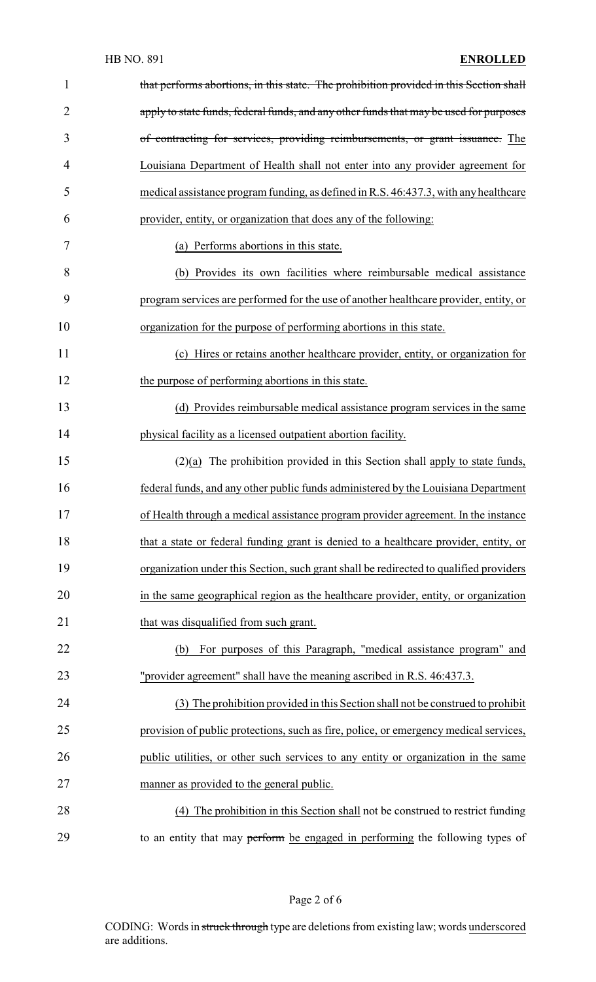| $\mathbf{1}$   | that performs abortions, in this state. The prohibition provided in this Section shall |
|----------------|----------------------------------------------------------------------------------------|
| $\overline{2}$ | apply to state funds, federal funds, and any other funds that may be used for purposes |
| 3              | of contracting for services, providing reimbursements, or grant issuance. The          |
| 4              | Louisiana Department of Health shall not enter into any provider agreement for         |
| 5              | medical assistance program funding, as defined in R.S. 46:437.3, with any healthcare   |
| 6              | provider, entity, or organization that does any of the following:                      |
| 7              | (a) Performs abortions in this state.                                                  |
| 8              | (b) Provides its own facilities where reimbursable medical assistance                  |
| 9              | program services are performed for the use of another healthcare provider, entity, or  |
| 10             | organization for the purpose of performing abortions in this state.                    |
| 11             | (c) Hires or retains another healthcare provider, entity, or organization for          |
| 12             | the purpose of performing abortions in this state.                                     |
| 13             | (d) Provides reimbursable medical assistance program services in the same              |
| 14             | physical facility as a licensed outpatient abortion facility.                          |
| 15             | $(2)(a)$ The prohibition provided in this Section shall apply to state funds,          |
| 16             | federal funds, and any other public funds administered by the Louisiana Department     |
| 17             | of Health through a medical assistance program provider agreement. In the instance     |
| 18             | that a state or federal funding grant is denied to a healthcare provider, entity, or   |
| 19             | organization under this Section, such grant shall be redirected to qualified providers |
| 20             | in the same geographical region as the healthcare provider, entity, or organization    |
| 21             | that was disqualified from such grant.                                                 |
| 22             | For purposes of this Paragraph, "medical assistance program" and<br>(b)                |
| 23             | "provider agreement" shall have the meaning ascribed in R.S. 46:437.3.                 |
| 24             | (3) The prohibition provided in this Section shall not be construed to prohibit        |
| 25             | provision of public protections, such as fire, police, or emergency medical services,  |
| 26             | public utilities, or other such services to any entity or organization in the same     |
| 27             | manner as provided to the general public.                                              |
| 28             | (4) The prohibition in this Section shall not be construed to restrict funding         |
| 29             | to an entity that may perform be engaged in performing the following types of          |

Page 2 of 6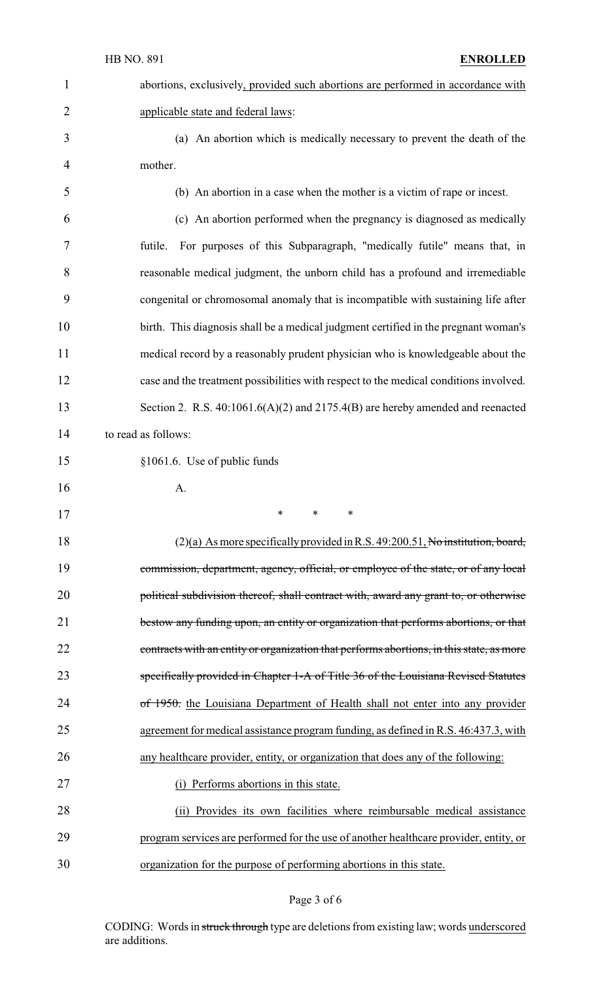| $\mathbf{1}$   | abortions, exclusively, provided such abortions are performed in accordance with         |
|----------------|------------------------------------------------------------------------------------------|
| $\overline{2}$ | applicable state and federal laws:                                                       |
| 3              | (a) An abortion which is medically necessary to prevent the death of the                 |
| 4              | mother.                                                                                  |
| 5              | (b) An abortion in a case when the mother is a victim of rape or incest.                 |
| 6              | (c) An abortion performed when the pregnancy is diagnosed as medically                   |
| 7              | For purposes of this Subparagraph, "medically futile" means that, in<br>futile.          |
| 8              | reasonable medical judgment, the unborn child has a profound and irremediable            |
| 9              | congenital or chromosomal anomaly that is incompatible with sustaining life after        |
| 10             | birth. This diagnosis shall be a medical judgment certified in the pregnant woman's      |
| 11             | medical record by a reasonably prudent physician who is knowledgeable about the          |
| 12             | case and the treatment possibilities with respect to the medical conditions involved.    |
| 13             | Section 2. R.S. $40:1061.6(A)(2)$ and $2175.4(B)$ are hereby amended and reenacted       |
| 14             | to read as follows:                                                                      |
| 15             | §1061.6. Use of public funds                                                             |
| 16             | A.                                                                                       |
| 17             |                                                                                          |
| 18             | $(2)(a)$ As more specifically provided in R.S. 49:200.51, No institution, board,         |
| 19             | commission, department, agency, official, or employee of the state, or of any local      |
| 20             | political subdivision thereof, shall contract with, award any grant to, or otherwise     |
| 21             | bestow any funding upon, an entity or organization that performs abortions, or that      |
| 22             |                                                                                          |
|                | contracts with an entity or organization that performs abortions, in this state, as more |
| 23             | specifically provided in Chapter 1-A of Title 36 of the Louisiana Revised Statutes       |
| 24             | of 1950, the Louisiana Department of Health shall not enter into any provider            |
| 25             | agreement for medical assistance program funding, as defined in R.S. 46:437.3, with      |
| 26             | any healthcare provider, entity, or organization that does any of the following:         |
| 27             | (i) Performs abortions in this state.                                                    |
| 28             | Provides its own facilities where reimbursable medical assistance<br>(i)                 |
| 29             | program services are performed for the use of another healthcare provider, entity, or    |

# Page 3 of 6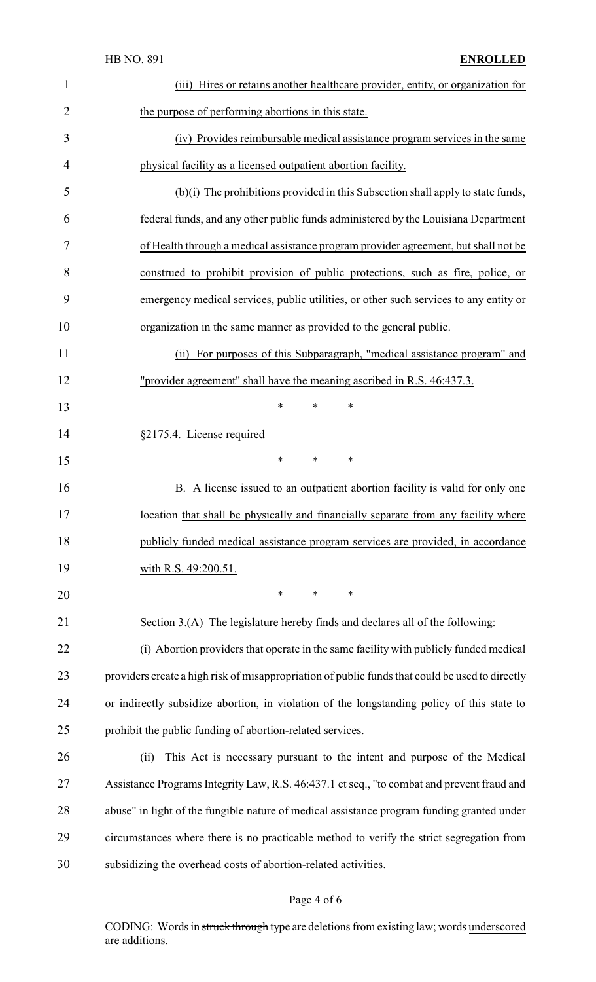|                | <b>HB NO. 891</b><br><b>ENROLLED</b>                                                            |
|----------------|-------------------------------------------------------------------------------------------------|
| 1              | (iii) Hires or retains another healthcare provider, entity, or organization for                 |
| $\overline{2}$ | the purpose of performing abortions in this state.                                              |
| 3              | (iv) Provides reimbursable medical assistance program services in the same                      |
| 4              | physical facility as a licensed outpatient abortion facility.                                   |
| 5              | (b)(i) The prohibitions provided in this Subsection shall apply to state funds,                 |
| 6              | federal funds, and any other public funds administered by the Louisiana Department              |
| 7              | of Health through a medical assistance program provider agreement, but shall not be             |
| 8              | construed to prohibit provision of public protections, such as fire, police, or                 |
| 9              | emergency medical services, public utilities, or other such services to any entity or           |
| 10             | organization in the same manner as provided to the general public.                              |
| 11             | For purposes of this Subparagraph, "medical assistance program" and<br>(i)                      |
| 12             | "provider agreement" shall have the meaning ascribed in R.S. 46:437.3.                          |
| 13             | $\ast$<br>∗<br>∗                                                                                |
| 14             | §2175.4. License required                                                                       |
| 15             | $\ast$<br>$\ast$<br>$\ast$                                                                      |
| 16             | B. A license issued to an outpatient abortion facility is valid for only one                    |
| 17             | location that shall be physically and financially separate from any facility where              |
| 18             | publicly funded medical assistance program services are provided, in accordance                 |
| 19             | with R.S. 49:200.51.                                                                            |
| 20             | $\ast$<br>$\ast$<br>$\ast$                                                                      |
| 21             | Section 3.(A) The legislature hereby finds and declares all of the following:                   |
| 22             | (i) Abortion providers that operate in the same facility with publicly funded medical           |
| 23             | providers create a high risk of misappropriation of public funds that could be used to directly |
| 24             | or indirectly subsidize abortion, in violation of the longstanding policy of this state to      |
| 25             | prohibit the public funding of abortion-related services.                                       |
| 26             | This Act is necessary pursuant to the intent and purpose of the Medical<br>(ii)                 |
| 27             | Assistance Programs Integrity Law, R.S. 46:437.1 et seq., "to combat and prevent fraud and      |
| 28             | abuse" in light of the fungible nature of medical assistance program funding granted under      |
| 29             | circumstances where there is no practicable method to verify the strict segregation from        |
| 30             | subsidizing the overhead costs of abortion-related activities.                                  |
|                |                                                                                                 |

# Page 4 of 6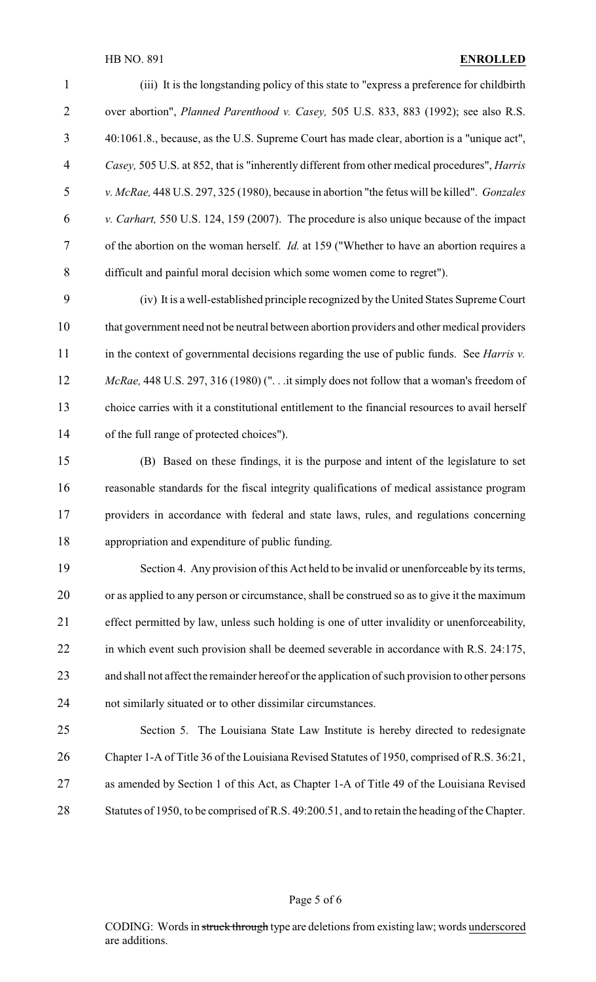### HB NO. 891 **ENROLLED**

 (iii) It is the longstanding policy of this state to "express a preference for childbirth over abortion", *Planned Parenthood v. Casey,* 505 U.S. 833, 883 (1992); see also R.S. 40:1061.8., because, as the U.S. Supreme Court has made clear, abortion is a "unique act", *Casey,* 505 U.S. at 852, that is "inherently different from other medical procedures", *Harris v. McRae,* 448 U.S. 297, 325 (1980), because in abortion "the fetus will be killed". *Gonzales v. Carhart,* 550 U.S. 124, 159 (2007). The procedure is also unique because of the impact of the abortion on the woman herself. *Id.* at 159 ("Whether to have an abortion requires a difficult and painful moral decision which some women come to regret").

 (iv) It is a well-established principle recognized by the United States Supreme Court that government need not be neutral between abortion providers and other medical providers in the context of governmental decisions regarding the use of public funds. See *Harris v. McRae,* 448 U.S. 297, 316 (1980) (". . .it simply does not follow that a woman's freedom of choice carries with it a constitutional entitlement to the financial resources to avail herself of the full range of protected choices").

 (B) Based on these findings, it is the purpose and intent of the legislature to set reasonable standards for the fiscal integrity qualifications of medical assistance program providers in accordance with federal and state laws, rules, and regulations concerning appropriation and expenditure of public funding.

 Section 4. Any provision of this Act held to be invalid or unenforceable by its terms, or as applied to any person or circumstance, shall be construed so as to give it the maximum effect permitted by law, unless such holding is one of utter invalidity or unenforceability, 22 in which event such provision shall be deemed severable in accordance with R.S. 24:175, and shall not affect the remainder hereof or the application of such provision to other persons not similarly situated or to other dissimilar circumstances.

 Section 5. The Louisiana State Law Institute is hereby directed to redesignate Chapter 1-A of Title 36 of the Louisiana Revised Statutes of 1950, comprised of R.S. 36:21, as amended by Section 1 of this Act, as Chapter 1-A of Title 49 of the Louisiana Revised 28 Statutes of 1950, to be comprised of R.S. 49:200.51, and to retain the heading of the Chapter.

#### Page 5 of 6